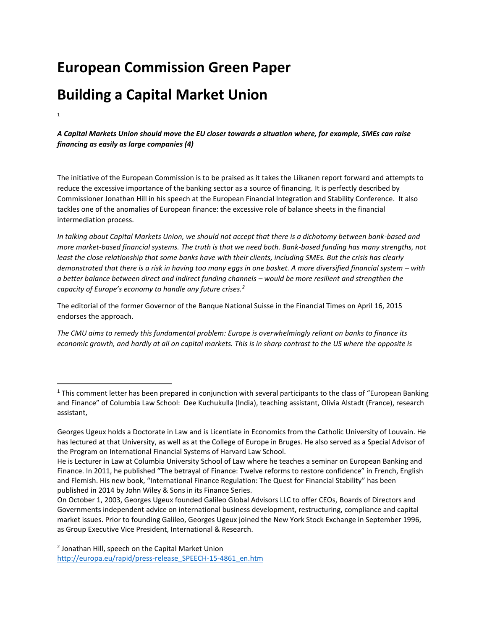# **European Commission Green Paper**

# **Building a Capital Market Union**

1

 $\overline{\phantom{a}}$ 

*A Capital Markets Union should move the EU closer towards a situation where, for example, SMEs can raise financing as easily as large companies (4)*

The initiative of the European Commission is to be praised as it takes the Liikanen report forward and attempts to reduce the excessive importance of the banking sector as a source of financing. It is perfectly described by Commissioner Jonathan Hill in his speech at the European Financial Integration and Stability Conference. It also tackles one of the anomalies of European finance: the excessive role of balance sheets in the financial intermediation process.

*In talking about Capital Markets Union, we should not accept that there is a dichotomy between bank-based and more market-based financial systems. The truth is that we need both. Bank-based funding has many strengths, not least the close relationship that some banks have with their clients, including SMEs. But the crisis has clearly demonstrated that there is a risk in having too many eggs in one basket. A more diversified financial system – with a better balance between direct and indirect funding channels – would be more resilient and strengthen the capacity of Europe's economy to handle any future crises.<sup>2</sup>*

The editorial of the former Governor of the Banque National Suisse in the Financial Times on April 16, 2015 endorses the approach.

*The CMU aims to remedy this fundamental problem: Europe is overwhelmingly reliant on banks to finance its economic growth, and hardly at all on capital markets. This is in sharp contrast to the US where the opposite is* 

<sup>&</sup>lt;sup>1</sup> This comment letter has been prepared in conjunction with several participants to the class of "European Banking and Finance" of Columbia Law School: Dee Kuchukulla (India), teaching assistant, Olivia Alstadt (France), research assistant,

Georges Ugeux holds a Doctorate in Law and is Licentiate in Economics from the Catholic University of Louvain. He has lectured at that University, as well as at the College of Europe in Bruges. He also served as a Special Advisor of the Program on International Financial Systems of Harvard Law School.

He is Lecturer in Law at Columbia University School of Law where he teaches a seminar on European Banking and Finance. In 2011, he published "The betrayal of Finance: Twelve reforms to restore confidence" in French, English and Flemish. His new book, "International Finance Regulation: The Quest for Financial Stability" has been published in 2014 by John Wiley & Sons in its Finance Series.

On October 1, 2003, Georges Ugeux founded Galileo Global Advisors LLC to offer CEOs, Boards of Directors and Governments independent advice on international business development, restructuring, compliance and capital market issues. Prior to founding Galileo, Georges Ugeux joined the New York Stock Exchange in September 1996, as Group Executive Vice President, International & Research.

<sup>2</sup> Jonathan Hill, speech on the Capital Market Union [http://europa.eu/rapid/press-release\\_SPEECH-15-4861\\_en.htm](http://europa.eu/rapid/press-release_SPEECH-15-4861_en.htm)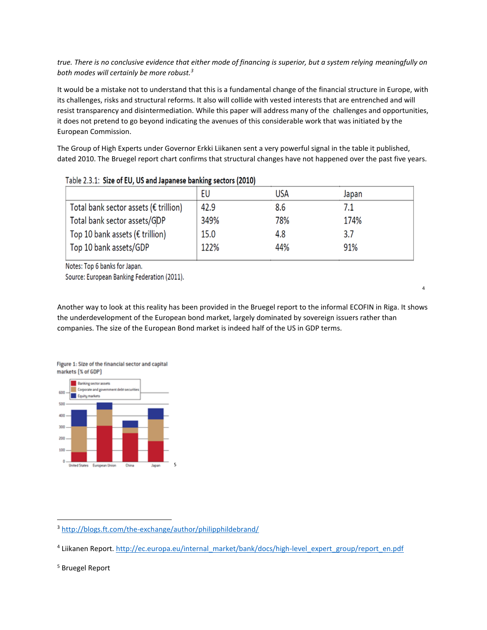# *true. There is no conclusive evidence that either mode of financing is superior, but a system relying meaningfully on both modes will certainly be more robust.<sup>3</sup>*

It would be a mistake not to understand that this is a fundamental change of the financial structure in Europe, with its challenges, risks and structural reforms. It also will collide with vested interests that are entrenched and will resist transparency and disintermediation. While this paper will address many of the challenges and opportunities, it does not pretend to go beyond indicating the avenues of this considerable work that was initiated by the European Commission.

The Group of High Experts under Governor Erkki Liikanen sent a very powerful signal in the table it published, dated 2010. The Bruegel report chart confirms that structural changes have not happened over the past five years.

| Table 2.3.1. Size of EO, OS and Japanese Danking Sectors (2010) |      |            |       |  |  |  |  |  |
|-----------------------------------------------------------------|------|------------|-------|--|--|--|--|--|
|                                                                 | EU   | <b>USA</b> | Japan |  |  |  |  |  |
| Total bank sector assets ( $\epsilon$ trillion)                 | 42.9 | 8.6        | 7.1   |  |  |  |  |  |
| Total bank sector assets/GDP                                    | 349% | 78%        | 174%  |  |  |  |  |  |
| Top 10 bank assets ( $\epsilon$ trillion)                       | 15.0 | 4.8        | 3.7   |  |  |  |  |  |
| Top 10 bank assets/GDP                                          | 122% | 44%        | 91%   |  |  |  |  |  |
|                                                                 |      |            |       |  |  |  |  |  |

Table 2.3.1: Size of FIL IIS and Jananese hanking sectors (2010)

Notes: Top 6 banks for Japan.

Source: European Banking Federation (2011).

Another way to look at this reality has been provided in the Bruegel report to the informal ECOFIN in Riga. It shows the underdevelopment of the European bond market, largely dominated by sovereign issuers rather than companies. The size of the European Bond market is indeed half of the US in GDP terms.

4





5

l <sup>3</sup> <http://blogs.ft.com/the-exchange/author/philipphildebrand/>

<sup>&</sup>lt;sup>4</sup> Liikanen Report. [http://ec.europa.eu/internal\\_market/bank/docs/high-level\\_expert\\_group/report\\_en.pdf](http://ec.europa.eu/internal_market/bank/docs/high-level_expert_group/report_en.pdf)

<sup>5</sup> Bruegel Report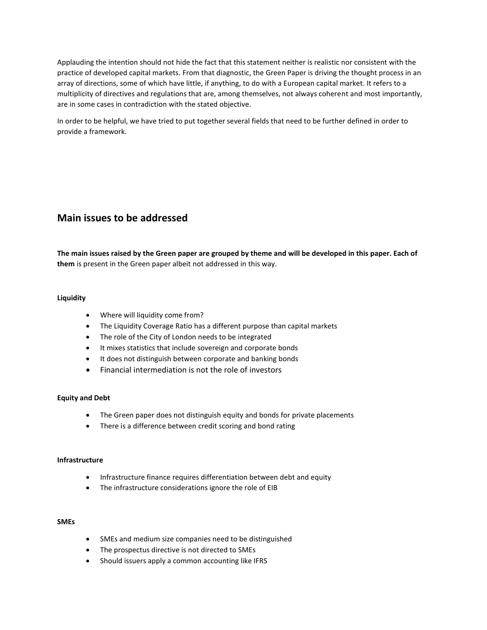Applauding the intention should not hide the fact that this statement neither is realistic nor consistent with the practice of developed capital markets. From that diagnostic, the Green Paper is driving the thought process in an array of directions, some of which have little, if anything, to do with a European capital market. It refers to a multiplicity of directives and regulations that are, among themselves, not always coherent and most importantly, are in some cases in contradiction with the stated objective.

In order to be helpful, we have tried to put together several fields that need to be further defined in order to provide a framework.

# **Main issues to be addressed**

**The main issues raised by the Green paper are grouped by theme and will be developed in this paper. Each of them** is present in the Green paper albeit not addressed in this way.

### **Liquidity**

- Where will liquidity come from?
- The Liquidity Coverage Ratio has a different purpose than capital markets
- The role of the City of London needs to be integrated
- It mixes statistics that include sovereign and corporate bonds
- It does not distinguish between corporate and banking bonds
- Financial intermediation is not the role of investors

#### **Equity and Debt**

- The Green paper does not distinguish equity and bonds for private placements
- There is a difference between credit scoring and bond rating

#### **Infrastructure**

- Infrastructure finance requires differentiation between debt and equity
- The infrastructure considerations ignore the role of EIB

#### **SMEs**

- SMEs and medium size companies need to be distinguished
- The prospectus directive is not directed to SMEs
- Should issuers apply a common accounting like IFRS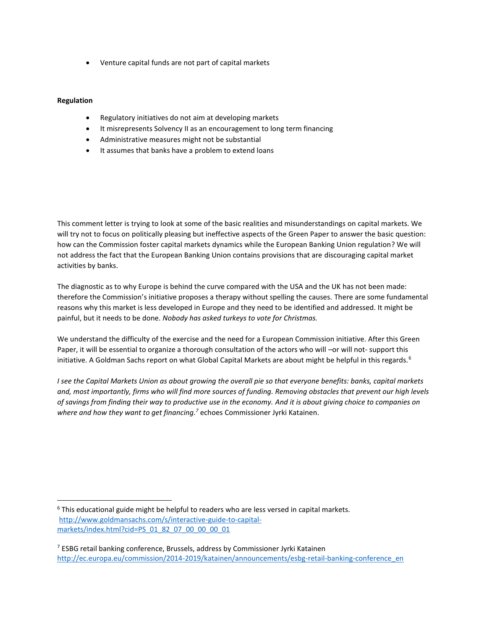Venture capital funds are not part of capital markets

### **Regulation**

 $\overline{\phantom{a}}$ 

- Regulatory initiatives do not aim at developing markets
- It misrepresents Solvency II as an encouragement to long term financing
- Administrative measures might not be substantial
- It assumes that banks have a problem to extend loans

This comment letter is trying to look at some of the basic realities and misunderstandings on capital markets. We will try not to focus on politically pleasing but ineffective aspects of the Green Paper to answer the basic question: how can the Commission foster capital markets dynamics while the European Banking Union regulation? We will not address the fact that the European Banking Union contains provisions that are discouraging capital market activities by banks.

The diagnostic as to why Europe is behind the curve compared with the USA and the UK has not been made: therefore the Commission's initiative proposes a therapy without spelling the causes. There are some fundamental reasons why this market is less developed in Europe and they need to be identified and addressed. It might be painful, but it needs to be done. *Nobody has asked turkeys to vote for Christmas.*

We understand the difficulty of the exercise and the need for a European Commission initiative. After this Green Paper, it will be essential to organize a thorough consultation of the actors who will –or will not- support this initiative. A Goldman Sachs report on what Global Capital Markets are about might be helpful in this regards.<sup>6</sup>

*I see the Capital Markets Union as about growing the overall pie so that everyone benefits: banks, capital markets and, most importantly, firms who will find more sources of funding. Removing obstacles that prevent our high levels of savings from finding their way to productive use in the economy. And it is about giving choice to companies on where and how they want to get financing.<sup>7</sup>* echoes Commissioner Jyrki Katainen.

 $6$  This educational guide might be helpful to readers who are less versed in capital markets. [http://www.goldmansachs.com/s/interactive-guide-to-capital](http://www.goldmansachs.com/s/interactive-guide-to-capital-markets/index.html?cid=PS_01_82_07_00_00_00_01)[markets/index.html?cid=PS\\_01\\_82\\_07\\_00\\_00\\_00\\_01](http://www.goldmansachs.com/s/interactive-guide-to-capital-markets/index.html?cid=PS_01_82_07_00_00_00_01)

 $7$  ESBG retail banking conference, Brussels, address by Commissioner Jyrki Katainen [http://ec.europa.eu/commission/2014-2019/katainen/announcements/esbg-retail-banking-conference\\_en](http://ec.europa.eu/commission/2014-2019/katainen/announcements/esbg-retail-banking-conference_en)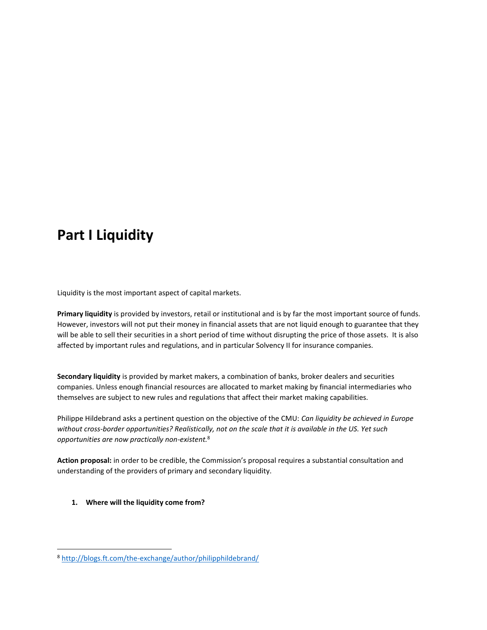# **Part I Liquidity**

Liquidity is the most important aspect of capital markets.

**Primary liquidity** is provided by investors, retail or institutional and is by far the most important source of funds. However, investors will not put their money in financial assets that are not liquid enough to guarantee that they will be able to sell their securities in a short period of time without disrupting the price of those assets. It is also affected by important rules and regulations, and in particular Solvency II for insurance companies.

**Secondary liquidity** is provided by market makers, a combination of banks, broker dealers and securities companies. Unless enough financial resources are allocated to market making by financial intermediaries who themselves are subject to new rules and regulations that affect their market making capabilities.

Philippe Hildebrand asks a pertinent question on the objective of the CMU: *Can liquidity be achieved in Europe without cross-border opportunities? Realistically, not on the scale that it is available in the US. Yet such opportunities are now practically non-existent.*<sup>8</sup>

**Action proposal:** in order to be credible, the Commission's proposal requires a substantial consultation and understanding of the providers of primary and secondary liquidity.

**1. Where will the liquidity come from?**

<sup>8</sup> <http://blogs.ft.com/the-exchange/author/philipphildebrand/>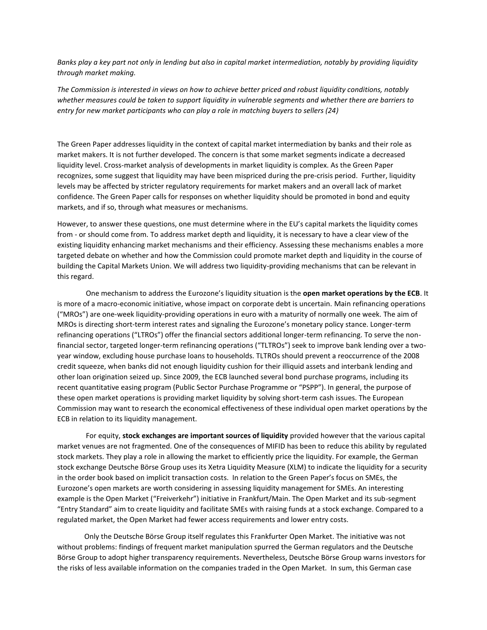*Banks play a key part not only in lending but also in capital market intermediation, notably by providing liquidity through market making.*

*The Commission is interested in views on how to achieve better priced and robust liquidity conditions, notably whether measures could be taken to support liquidity in vulnerable segments and whether there are barriers to entry for new market participants who can play a role in matching buyers to sellers (24)*

The Green Paper addresses liquidity in the context of capital market intermediation by banks and their role as market makers. It is not further developed. The concern is that some market segments indicate a decreased liquidity level. Cross-market analysis of developments in market liquidity is complex. As the Green Paper recognizes, some suggest that liquidity may have been mispriced during the pre-crisis period. Further, liquidity levels may be affected by stricter regulatory requirements for market makers and an overall lack of market confidence. The Green Paper calls for responses on whether liquidity should be promoted in bond and equity markets, and if so, through what measures or mechanisms.

However, to answer these questions, one must determine where in the EU's capital markets the liquidity comes from - or should come from. To address market depth and liquidity, it is necessary to have a clear view of the existing liquidity enhancing market mechanisms and their efficiency. Assessing these mechanisms enables a more targeted debate on whether and how the Commission could promote market depth and liquidity in the course of building the Capital Markets Union. We will address two liquidity-providing mechanisms that can be relevant in this regard.

One mechanism to address the Eurozone's liquidity situation is the **open market operations by the ECB**. It is more of a macro-economic initiative, whose impact on corporate debt is uncertain. Main refinancing operations ("MROs") are one-week liquidity-providing operations in euro with a maturity of normally one week. The aim of MROs is directing short-term interest rates and signaling the Eurozone's monetary policy stance. Longer-term refinancing operations ("LTROs") offer the financial sectors additional longer-term refinancing. To serve the nonfinancial sector, targeted longer-term refinancing operations ("TLTROs") seek to improve bank lending over a twoyear window, excluding house purchase loans to households. TLTROs should prevent a reoccurrence of the 2008 credit squeeze, when banks did not enough liquidity cushion for their illiquid assets and interbank lending and other loan origination seized up. Since 2009, the ECB launched several bond purchase programs, including its recent quantitative easing program (Public Sector Purchase Programme or "PSPP"). In general, the purpose of these open market operations is providing market liquidity by solving short-term cash issues. The European Commission may want to research the economical effectiveness of these individual open market operations by the ECB in relation to its liquidity management.

For equity, **stock exchanges are important sources of liquidity** provided however that the various capital market venues are not fragmented. One of the consequences of MIFID has been to reduce this ability by regulated stock markets. They play a role in allowing the market to efficiently price the liquidity. For example, the German stock exchange Deutsche Börse Group uses its Xetra Liquidity Measure (XLM) to indicate the liquidity for a security in the order book based on implicit transaction costs. In relation to the Green Paper's focus on SMEs, the Eurozone's open markets are worth considering in assessing liquidity management for SMEs. An interesting example is the Open Market ("Freiverkehr") initiative in Frankfurt/Main. The Open Market and its sub-segment "Entry Standard" aim to create liquidity and facilitate SMEs with raising funds at a stock exchange. Compared to a regulated market, the Open Market had fewer access requirements and lower entry costs.

 Only the Deutsche Börse Group itself regulates this Frankfurter Open Market. The initiative was not without problems: findings of frequent market manipulation spurred the German regulators and the Deutsche Börse Group to adopt higher transparency requirements. Nevertheless, Deutsche Börse Group warns investors for the risks of less available information on the companies traded in the Open Market. In sum, this German case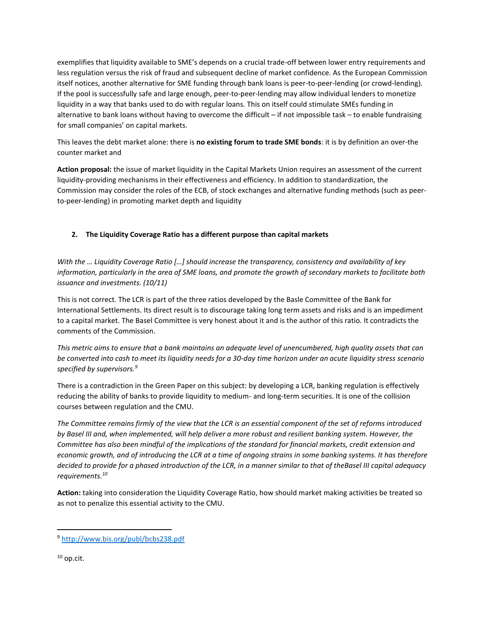exemplifies that liquidity available to SME's depends on a crucial trade-off between lower entry requirements and less regulation versus the risk of fraud and subsequent decline of market confidence. As the European Commission itself notices, another alternative for SME funding through bank loans is peer-to-peer-lending (or crowd-lending). If the pool is successfully safe and large enough, peer-to-peer-lending may allow individual lenders to monetize liquidity in a way that banks used to do with regular loans. This on itself could stimulate SMEs funding in alternative to bank loans without having to overcome the difficult – if not impossible task – to enable fundraising for small companies' on capital markets.

This leaves the debt market alone: there is **no existing forum to trade SME bonds**: it is by definition an over-the counter market and

**Action proposal:** the issue of market liquidity in the Capital Markets Union requires an assessment of the current liquidity-providing mechanisms in their effectiveness and efficiency. In addition to standardization, the Commission may consider the roles of the ECB, of stock exchanges and alternative funding methods (such as peerto-peer-lending) in promoting market depth and liquidity

# **2. The Liquidity Coverage Ratio has a different purpose than capital markets**

*With the ... Liquidity Coverage Ratio [...] should increase the transparency, consistency and availability of key information, particularly in the area of SME loans, and promote the growth of secondary markets to facilitate both issuance and investments. (10/11)*

This is not correct. The LCR is part of the three ratios developed by the Basle Committee of the Bank for International Settlements. Its direct result is to discourage taking long term assets and risks and is an impediment to a capital market. The Basel Committee is very honest about it and is the author of this ratio. It contradicts the comments of the Commission.

*This metric aims to ensure that a bank maintains an adequate level of unencumbered, high quality assets that can be converted into cash to meet its liquidity needs for a 30-day time horizon under an acute liquidity stress scenario specified by supervisors.<sup>9</sup>*

There is a contradiction in the Green Paper on this subject: by developing a LCR, banking regulation is effectively reducing the ability of banks to provide liquidity to medium- and long-term securities. It is one of the collision courses between regulation and the CMU.

*The Committee remains firmly of the view that the LCR is an essential component of the set of reforms introduced by Basel III and, when implemented, will help deliver a more robust and resilient banking system. However, the Committee has also been mindful of the implications of the standard for financial markets, credit extension and economic growth, and of introducing the LCR at a time of ongoing strains in some banking systems. It has therefore decided to provide for a phased introduction of the LCR, in a manner similar to that of theBasel III capital adequacy requirements.<sup>10</sup>*

**Action:** taking into consideration the Liquidity Coverage Ratio, how should market making activities be treated so as not to penalize this essential activity to the CMU.

 $10$  op.cit.

 $\overline{a}$ 

<sup>9</sup> <http://www.bis.org/publ/bcbs238.pdf>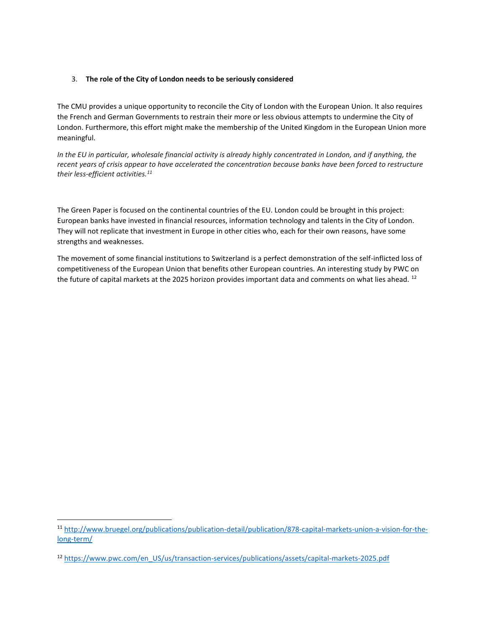# 3. **The role of the City of London needs to be seriously considered**

The CMU provides a unique opportunity to reconcile the City of London with the European Union. It also requires the French and German Governments to restrain their more or less obvious attempts to undermine the City of London. Furthermore, this effort might make the membership of the United Kingdom in the European Union more meaningful.

*In the EU in particular, wholesale financial activity is already highly concentrated in London, and if anything, the recent years of crisis appear to have accelerated the concentration because banks have been forced to restructure their less-efficient activities.<sup>11</sup>*

The Green Paper is focused on the continental countries of the EU. London could be brought in this project: European banks have invested in financial resources, information technology and talents in the City of London. They will not replicate that investment in Europe in other cities who, each for their own reasons, have some strengths and weaknesses.

The movement of some financial institutions to Switzerland is a perfect demonstration of the self-inflicted loss of competitiveness of the European Union that benefits other European countries. An interesting study by PWC on the future of capital markets at the 2025 horizon provides important data and comments on what lies ahead. <sup>12</sup>

<sup>11</sup> [http://www.bruegel.org/publications/publication-detail/publication/878-capital-markets-union-a-vision-for-the](http://www.bruegel.org/publications/publication-detail/publication/878-capital-markets-union-a-vision-for-the-long-term/)[long-term/](http://www.bruegel.org/publications/publication-detail/publication/878-capital-markets-union-a-vision-for-the-long-term/)

<sup>12</sup> [https://www.pwc.com/en\\_US/us/transaction-services/publications/assets/capital-markets-2025.pdf](https://www.pwc.com/en_US/us/transaction-services/publications/assets/capital-markets-2025.pdf)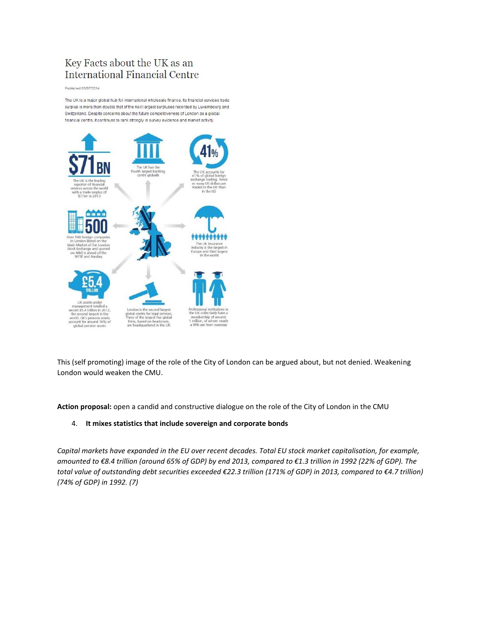# Key Facts about the UK as an **International Financial Centre**

Published 03/07/2014

The UK is a major global hub for international wholesale finance, its financial services trade surplus is more than double that of the next largest surpluses recorded by Luxembourg and Switzerland. Despite concerns about the future competitiveness of London as a global financial centre, it continues to rank strongly in survey evidence and market activity.



This (self promoting) image of the role of the City of London can be argued about, but not denied. Weakening London would weaken the CMU.

**Action proposal:** open a candid and constructive dialogue on the role of the City of London in the CMU

### 4. **It mixes statistics that include sovereign and corporate bonds**

*Capital markets have expanded in the EU over recent decades. Total EU stock market capitalisation, for example, amounted to €8.4 trillion (around 65% of GDP) by end 2013, compared to €1.3 trillion in 1992 (22% of GDP). The total value of outstanding debt securities exceeded €22.3 trillion (171% of GDP) in 2013, compared to €4.7 trillion) (74% of GDP) in 1992. (7)*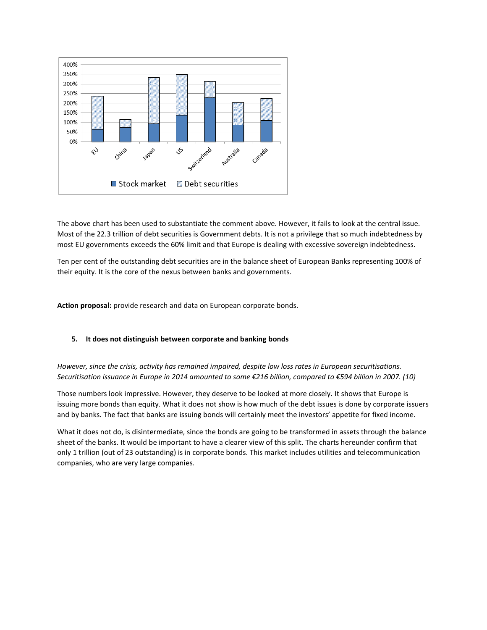

The above chart has been used to substantiate the comment above. However, it fails to look at the central issue. Most of the 22.3 trillion of debt securities is Government debts. It is not a privilege that so much indebtedness by most EU governments exceeds the 60% limit and that Europe is dealing with excessive sovereign indebtedness.

Ten per cent of the outstanding debt securities are in the balance sheet of European Banks representing 100% of their equity. It is the core of the nexus between banks and governments.

**Action proposal:** provide research and data on European corporate bonds.

### **5. It does not distinguish between corporate and banking bonds**

*However, since the crisis, activity has remained impaired, despite low loss rates in European securitisations. Securitisation issuance in Europe in 2014 amounted to some €216 billion, compared to €594 billion in 2007. (10)*

Those numbers look impressive. However, they deserve to be looked at more closely. It shows that Europe is issuing more bonds than equity. What it does not show is how much of the debt issues is done by corporate issuers and by banks. The fact that banks are issuing bonds will certainly meet the investors' appetite for fixed income.

What it does not do, is disintermediate, since the bonds are going to be transformed in assets through the balance sheet of the banks. It would be important to have a clearer view of this split. The charts hereunder confirm that only 1 trillion (out of 23 outstanding) is in corporate bonds. This market includes utilities and telecommunication companies, who are very large companies.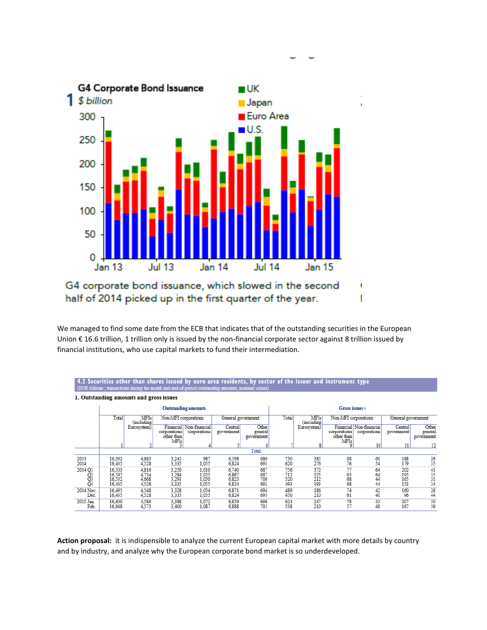

half of 2014 picked up in the first quarter of the year.

all control for the first state

 $\overline{1}$  and  $\overline{2}$  and  $\overline{1}$  and  $\overline{1}$  and  $\overline{1}$  and  $\overline{1}$  and  $\overline{1}$  and  $\overline{1}$ 

We managed to find some date from the ECB that indicates that of the outstanding securities in the European Union € 16.6 trillion, 1 trillion only is issued by the non-financial corporate sector against 8 trillion issued by financial institutions, who use capital markets to fund their intermediation.

and the company of the company

۱

I

|                                         | 9.2 JECUTTLIES VINET INAN SNATES ISSUEU DY EUTO ATEA TESIUENIS, DY SECIOT OF LIIE ISSUET ANU MISITUMENI IYPE<br>(EUR billions ; transactions during the month and end-of-period outstanding amounts; nominal values) |                                                   |                                    |                                         |                                  |                                |                            |                           |                                    |                                         |                          |                                          |
|-----------------------------------------|----------------------------------------------------------------------------------------------------------------------------------------------------------------------------------------------------------------------|---------------------------------------------------|------------------------------------|-----------------------------------------|----------------------------------|--------------------------------|----------------------------|---------------------------|------------------------------------|-----------------------------------------|--------------------------|------------------------------------------|
| 1. Outstanding amounts and gross issues |                                                                                                                                                                                                                      |                                                   |                                    |                                         |                                  |                                |                            |                           |                                    |                                         |                          |                                          |
|                                         | <b>Outstanding amounts</b>                                                                                                                                                                                           |                                                   |                                    |                                         |                                  |                                | Gross issues <sup>13</sup> |                           |                                    |                                         |                          |                                          |
|                                         | Total                                                                                                                                                                                                                | <b>MFIs</b><br>Non-MFI corporations<br>(including |                                    |                                         | General government               |                                | Total                      | <b>MFIs</b><br>(including | Non-MFI corporations               |                                         | General government       |                                          |
|                                         |                                                                                                                                                                                                                      | Eurosystem)                                       | corporations<br>other than<br>MFIs | Financial Non-financial<br>corporations | Central<br>government            | Other<br>general<br>government |                            | Eurosystem)               | corporations<br>other than<br>MFIs | Financial Non-financial<br>corporations | Central<br>government    | Other<br>general<br>government           |
|                                         |                                                                                                                                                                                                                      |                                                   |                                    |                                         |                                  |                                |                            |                           |                                    | 10 <sup>1</sup>                         | 11                       | 12                                       |
|                                         | Total                                                                                                                                                                                                                |                                                   |                                    |                                         |                                  |                                |                            |                           |                                    |                                         |                          |                                          |
| 2013<br>2014                            | 16.392<br>16,435                                                                                                                                                                                                     | 4,883<br>4,528                                    | 3,245<br>3,335                     | 987<br>1,055                            | 6,598<br>6,824                   | 680<br>693                     | 730<br>620                 | 385<br>276                | 68<br>76                           | 60<br>54                                | 188<br>179               | 29<br>35                                 |
| 2014 Q1<br>02<br>03<br>Q4               | 16.503<br>16,597<br>16.532<br>16,435                                                                                                                                                                                 | 4,816<br>4,734<br>4,668<br>4,528                  | 3,250<br>3,284<br>3,291<br>3,335   | 1,010<br>l,025<br>l,050<br>1,055        | 6,740<br>6,867<br>6,823<br>6,824 | 687<br>687<br>700<br>693       | 756<br>712<br>520<br>493   | 372<br>325<br>212<br>193  | 77<br>$\frac{93}{68}$<br>68        | 64<br>64<br>44<br>44                    | 202<br>195<br>165<br>153 | $\frac{41}{35}$<br>$\frac{35}{31}$<br>34 |
| 2014 Nov.<br>Dec.                       | 16.495<br>16.435                                                                                                                                                                                                     | 4,548<br>4,528                                    | 3,328<br>3,335                     | 1,054<br>1,055                          | 6,871<br>6,824                   | 694<br>693                     | 489<br>450                 | 186<br>210                | 74<br>61                           | 42<br>40                                | 160<br>96                | 26<br>44                                 |
| 2015 Jan.<br>Feb.                       | 16.600<br>16,648                                                                                                                                                                                                     | 4,586<br>4,573                                    | 3,388<br>3,400                     | 1,072<br>1,087                          | 6.859<br>6,888                   | 696<br>701                     | 624<br>538                 | 247<br>210                | 78<br>57                           | 43<br>48                                | 207<br>167               | 50<br>56                                 |

**Action proposal:** it is indispensible to analyze the current European capital market with more details by country and by industry, and analyze why the European corporate bond market is so underdeveloped.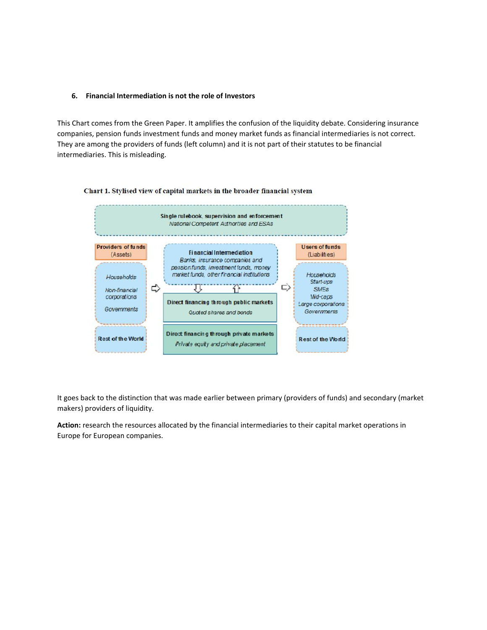#### **6. Financial Intermediation is not the role of Investors**

This Chart comes from the Green Paper. It amplifies the confusion of the liquidity debate. Considering insurance companies, pension funds investment funds and money market funds as financial intermediaries is not correct. They are among the providers of funds (left column) and it is not part of their statutes to be financial intermediaries. This is misleading.



#### Chart 1. Stylised view of capital markets in the broader financial system

It goes back to the distinction that was made earlier between primary (providers of funds) and secondary (market makers) providers of liquidity.

**Action:** research the resources allocated by the financial intermediaries to their capital market operations in Europe for European companies.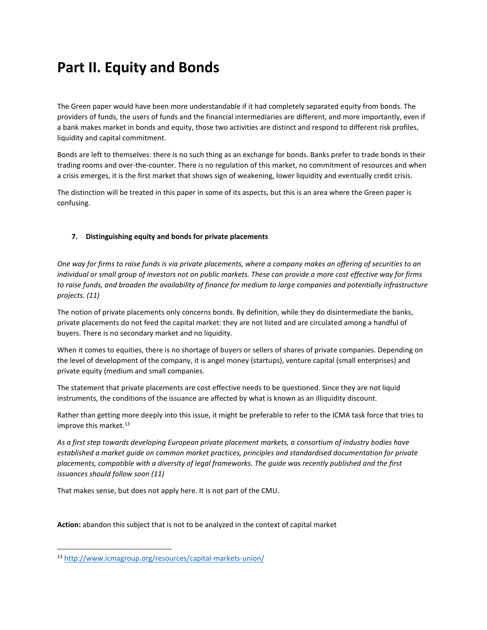# **Part II. Equity and Bonds**

The Green paper would have been more understandable if it had completely separated equity from bonds. The providers of funds, the users of funds and the financial intermediaries are different, and more importantly, even if a bank makes market in bonds and equity, those two activities are distinct and respond to different risk profiles, liquidity and capital commitment.

Bonds are left to themselves: there is no such thing as an exchange for bonds. Banks prefer to trade bonds in their trading rooms and over-the-counter. There is no regulation of this market, no commitment of resources and when a crisis emerges, it is the first market that shows sign of weakening, lower liquidity and eventually credit crisis.

The distinction will be treated in this paper in some of its aspects, but this is an area where the Green paper is confusing.

# **7. Distinguishing equity and bonds for private placements**

*One way for firms to raise funds is via private placements, where a company makes an offering of securities to an individual or small group of investors not on public markets. These can provide a more cost effective way for firms to raise funds, and broaden the availability of finance for medium to large companies and potentially infrastructure projects. (11)*

The notion of private placements only concerns bonds. By definition, while they do disintermediate the banks, private placements do not feed the capital market: they are not listed and are circulated among a handful of buyers. There is no secondary market and no liquidity.

When it comes to equities, there is no shortage of buyers or sellers of shares of private companies. Depending on the level of development of the company, it is angel money (startups), venture capital (small enterprises) and private equity (medium and small companies.

The statement that private placements are cost effective needs to be questioned. Since they are not liquid instruments, the conditions of the issuance are affected by what is known as an illiquidity discount.

Rather than getting more deeply into this issue, it might be preferable to refer to the ICMA task force that tries to improve this market. $^{13}$ 

*As a first step towards developing European private placement markets, a consortium of industry bodies have established a market guide on common market practices, principles and standardised documentation for private placements, compatible with a diversity of legal frameworks. The guide was recently published and the first issuances should follow soon (11)*

That makes sense, but does not apply here. It is not part of the CMU.

**Action:** abandon this subject that is not to be analyzed in the context of capital market

<sup>13</sup> <http://www.icmagroup.org/resources/capital-markets-union/>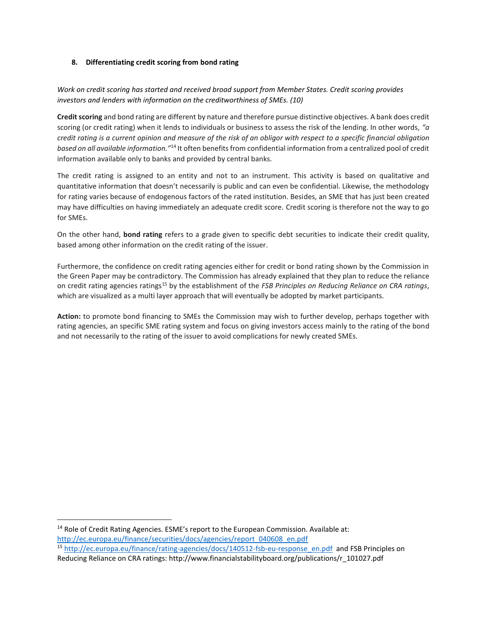### **8. Differentiating credit scoring from bond rating**

# *Work on credit scoring has started and received broad support from Member States. Credit scoring provides investors and lenders with information on the creditworthiness of SMEs. (10)*

**Credit scoring** and bond rating are different by nature and therefore pursue distinctive objectives. A bank does credit scoring (or credit rating) when it lends to individuals or business to assess the risk of the lending. In other words, *"a credit rating is a current opinion and measure of the risk of an obligor with respect to a specific financial obligation based on all available information."*<sup>14</sup> It often benefits from confidential information from a centralized pool of credit information available only to banks and provided by central banks.

The credit rating is assigned to an entity and not to an instrument. This activity is based on qualitative and quantitative information that doesn't necessarily is public and can even be confidential. Likewise, the methodology for rating varies because of endogenous factors of the rated institution. Besides, an SME that has just been created may have difficulties on having immediately an adequate credit score. Credit scoring is therefore not the way to go for SMEs.

On the other hand, **bond rating** refers to a grade given to specific debt securities to indicate their credit quality, based among other information on the credit rating of the issuer.

Furthermore, the confidence on credit rating agencies either for credit or bond rating shown by the Commission in the Green Paper may be contradictory. The Commission has already explained that they plan to reduce the reliance on credit rating agencies ratings<sup>15</sup> by the establishment of the *FSB Principles on Reducing Reliance on CRA ratings*, which are visualized as a multi layer approach that will eventually be adopted by market participants.

**Action:** to promote bond financing to SMEs the Commission may wish to further develop, perhaps together with rating agencies, an specific SME rating system and focus on giving investors access mainly to the rating of the bond and not necessarily to the rating of the issuer to avoid complications for newly created SMEs.

<sup>14</sup> Role of Credit Rating Agencies. ESME's report to the European Commission. Available at: [http://ec.europa.eu/finance/securities/docs/agencies/report\\_040608\\_en.pdf](http://ec.europa.eu/finance/securities/docs/agencies/report_040608_en.pdf) <sup>15</sup> [http://ec.europa.eu/finance/rating-agencies/docs/140512-fsb-eu-response\\_en.pdf](http://ec.europa.eu/finance/rating-agencies/docs/140512-fsb-eu-response_en.pdf) and FSB Principles on Reducing Reliance on CRA ratings: http://www.financialstabilityboard.org/publications/r\_101027.pdf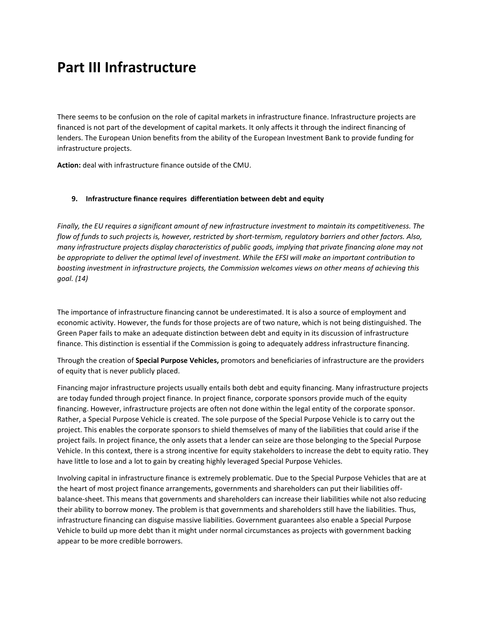# **Part III Infrastructure**

There seems to be confusion on the role of capital markets in infrastructure finance. Infrastructure projects are financed is not part of the development of capital markets. It only affects it through the indirect financing of lenders. The European Union benefits from the ability of the European Investment Bank to provide funding for infrastructure projects.

**Action:** deal with infrastructure finance outside of the CMU.

#### **9. Infrastructure finance requires differentiation between debt and equity**

*Finally, the EU requires a significant amount of new infrastructure investment to maintain its competitiveness. The flow of funds to such projects is, however, restricted by short-termism, regulatory barriers and other factors. Also, many infrastructure projects display characteristics of public goods, implying that private financing alone may not be appropriate to deliver the optimal level of investment. While the EFSI will make an important contribution to boosting investment in infrastructure projects, the Commission welcomes views on other means of achieving this goal. (14)*

The importance of infrastructure financing cannot be underestimated. It is also a source of employment and economic activity. However, the funds for those projects are of two nature, which is not being distinguished. The Green Paper fails to make an adequate distinction between debt and equity in its discussion of infrastructure finance. This distinction is essential if the Commission is going to adequately address infrastructure financing.

Through the creation of **Special Purpose Vehicles,** promotors and beneficiaries of infrastructure are the providers of equity that is never publicly placed.

Financing major infrastructure projects usually entails both debt and equity financing. Many infrastructure projects are today funded through project finance. In project finance, corporate sponsors provide much of the equity financing. However, infrastructure projects are often not done within the legal entity of the corporate sponsor. Rather, a Special Purpose Vehicle is created. The sole purpose of the Special Purpose Vehicle is to carry out the project. This enables the corporate sponsors to shield themselves of many of the liabilities that could arise if the project fails. In project finance, the only assets that a lender can seize are those belonging to the Special Purpose Vehicle. In this context, there is a strong incentive for equity stakeholders to increase the debt to equity ratio. They have little to lose and a lot to gain by creating highly leveraged Special Purpose Vehicles.

Involving capital in infrastructure finance is extremely problematic. Due to the Special Purpose Vehicles that are at the heart of most project finance arrangements, governments and shareholders can put their liabilities offbalance-sheet. This means that governments and shareholders can increase their liabilities while not also reducing their ability to borrow money. The problem is that governments and shareholders still have the liabilities. Thus, infrastructure financing can disguise massive liabilities. Government guarantees also enable a Special Purpose Vehicle to build up more debt than it might under normal circumstances as projects with government backing appear to be more credible borrowers.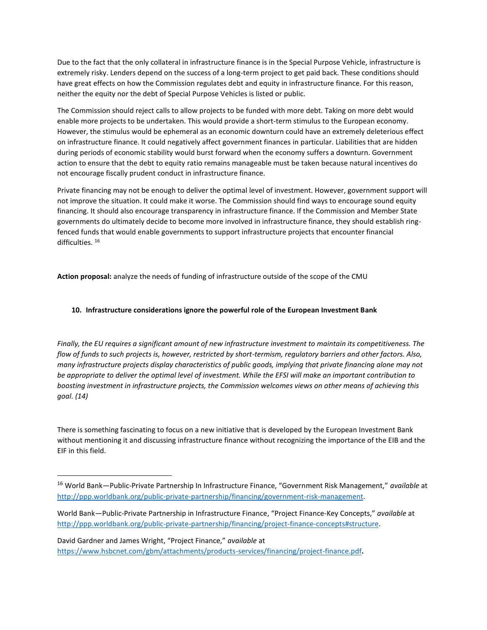Due to the fact that the only collateral in infrastructure finance is in the Special Purpose Vehicle, infrastructure is extremely risky. Lenders depend on the success of a long-term project to get paid back. These conditions should have great effects on how the Commission regulates debt and equity in infrastructure finance. For this reason, neither the equity nor the debt of Special Purpose Vehicles is listed or public.

The Commission should reject calls to allow projects to be funded with more debt. Taking on more debt would enable more projects to be undertaken. This would provide a short-term stimulus to the European economy. However, the stimulus would be ephemeral as an economic downturn could have an extremely deleterious effect on infrastructure finance. It could negatively affect government finances in particular. Liabilities that are hidden during periods of economic stability would burst forward when the economy suffers a downturn. Government action to ensure that the debt to equity ratio remains manageable must be taken because natural incentives do not encourage fiscally prudent conduct in infrastructure finance.

Private financing may not be enough to deliver the optimal level of investment. However, government support will not improve the situation. It could make it worse. The Commission should find ways to encourage sound equity financing. It should also encourage transparency in infrastructure finance. If the Commission and Member State governments do ultimately decide to become more involved in infrastructure finance, they should establish ringfenced funds that would enable governments to support infrastructure projects that encounter financial difficulties. <sup>16</sup>

**Action proposal:** analyze the needs of funding of infrastructure outside of the scope of the CMU

# **10. Infrastructure considerations ignore the powerful role of the European Investment Bank**

*Finally, the EU requires a significant amount of new infrastructure investment to maintain its competitiveness. The flow of funds to such projects is, however, restricted by short-termism, regulatory barriers and other factors. Also, many infrastructure projects display characteristics of public goods, implying that private financing alone may not be appropriate to deliver the optimal level of investment. While the EFSI will make an important contribution to boosting investment in infrastructure projects, the Commission welcomes views on other means of achieving this goal. (14)*

There is something fascinating to focus on a new initiative that is developed by the European Investment Bank without mentioning it and discussing infrastructure finance without recognizing the importance of the EIB and the EIF in this field.

 $\overline{\phantom{a}}$ 

<sup>16</sup> World Bank—Public-Private Partnership In Infrastructure Finance, "Government Risk Management," *available* at [http://ppp.worldbank.org/public-private-partnership/financing/government-risk-management.](http://ppp.worldbank.org/public-private-partnership/financing/government-risk-management)

World Bank—Public-Private Partnership in Infrastructure Finance, "Project Finance-Key Concepts," *available* at [http://ppp.worldbank.org/public-private-partnership/financing/project-finance-concepts#structure.](http://ppp.worldbank.org/public-private-partnership/financing/project-finance-concepts#structure) 

David Gardner and James Wright, "Project Finance," *available* at <https://www.hsbcnet.com/gbm/attachments/products-services/financing/project-finance.pdf>**.**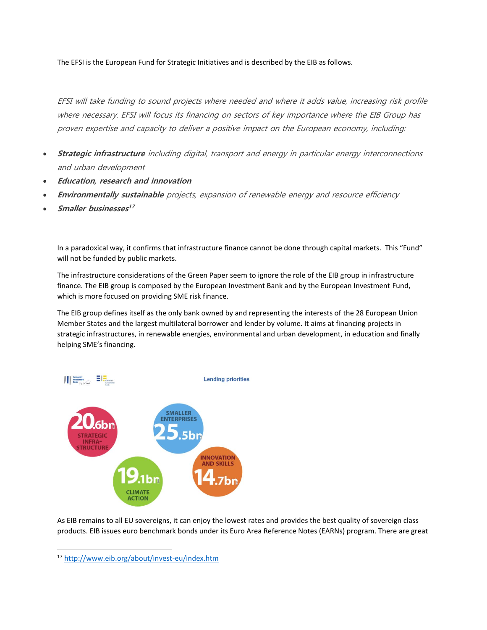The EFSI is the European Fund for Strategic Initiatives and is described by the EIB as follows.

EFSI will take funding to sound projects where needed and where it adds value, increasing risk profile where necessary. EFSI will focus its financing on sectors of key importance where the EIB Group has proven expertise and capacity to deliver a positive impact on the European economy, including:

- **Strategic infrastructure** including digital, transport and energy in particular energy interconnections and urban development
- **Education, research and innovation**
- **Environmentally sustainable** projects, expansion of renewable energy and resource efficiency
- **Smaller businesses 17**

In a paradoxical way, it confirms that infrastructure finance cannot be done through capital markets. This "Fund" will not be funded by public markets.

The infrastructure considerations of the Green Paper seem to ignore the role of the EIB group in infrastructure finance. The EIB group is composed by the European Investment Bank and by the European Investment Fund, which is more focused on providing SME risk finance.

The EIB group defines itself as the only bank owned by and representing the interests of the 28 European Union Member States and the largest multilateral borrower and lender by volume. It aims at financing projects in strategic infrastructures, in renewable energies, environmental and urban development, in education and finally helping SME's financing.



As EIB remains to all EU sovereigns, it can enjoy the lowest rates and provides the best quality of sovereign class products. EIB issues euro benchmark bonds under its Euro Area Reference Notes (EARNs) program. There are great

<sup>17</sup> <http://www.eib.org/about/invest-eu/index.htm>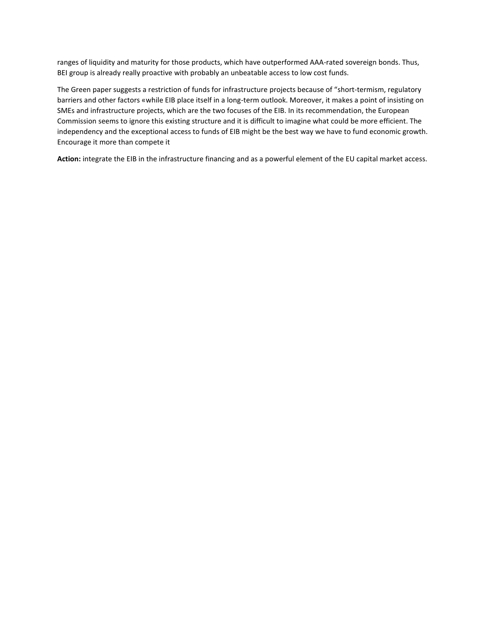ranges of liquidity and maturity for those products, which have outperformed AAA-rated sovereign bonds. Thus, BEI group is already really proactive with probably an unbeatable access to low cost funds.

The Green paper suggests a restriction of funds for infrastructure projects because of "short-termism, regulatory barriers and other factors «while EIB place itself in a long-term outlook. Moreover, it makes a point of insisting on SMEs and infrastructure projects, which are the two focuses of the EIB. In its recommendation, the European Commission seems to ignore this existing structure and it is difficult to imagine what could be more efficient. The independency and the exceptional access to funds of EIB might be the best way we have to fund economic growth. Encourage it more than compete it

**Action:** integrate the EIB in the infrastructure financing and as a powerful element of the EU capital market access.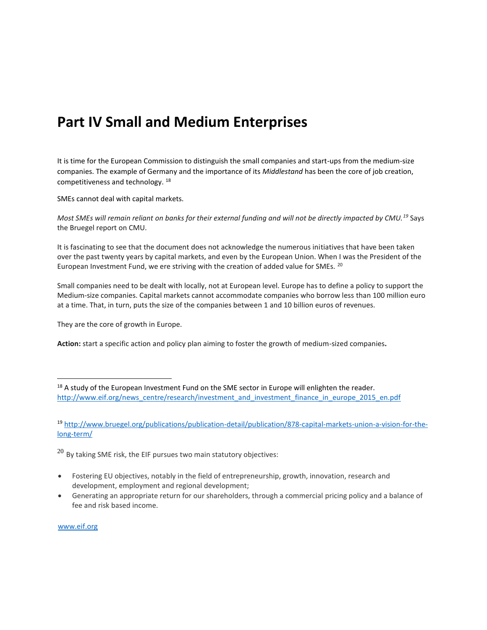# **Part IV Small and Medium Enterprises**

It is time for the European Commission to distinguish the small companies and start-ups from the medium-size companies. The example of Germany and the importance of its *Middlestand* has been the core of job creation, competitiveness and technology. <sup>18</sup>

SMEs cannot deal with capital markets.

*Most SMEs will remain reliant on banks for their external funding and will not be directly impacted by CMU.<sup>19</sup>* Says the Bruegel report on CMU.

It is fascinating to see that the document does not acknowledge the numerous initiatives that have been taken over the past twenty years by capital markets, and even by the European Union. When I was the President of the European Investment Fund, we ere striving with the creation of added value for SMEs. <sup>20</sup>

Small companies need to be dealt with locally, not at European level. Europe has to define a policy to support the Medium-size companies. Capital markets cannot accommodate companies who borrow less than 100 million euro at a time. That, in turn, puts the size of the companies between 1 and 10 billion euros of revenues.

They are the core of growth in Europe.

**Action:** start a specific action and policy plan aiming to foster the growth of medium-sized companies**.** 

 $^{20}$  By taking SME risk, the EIF pursues two main statutory objectives:

- Fostering EU objectives, notably in the field of entrepreneurship, growth, innovation, research and development, employment and regional development;
- Generating an appropriate return for our shareholders, through a commercial pricing policy and a balance of fee and risk based income.

[www.eif.org](http://www.eif.org/)

 $\overline{a}$ 

<sup>&</sup>lt;sup>18</sup> A study of the European Investment Fund on the SME sector in Europe will enlighten the reader. [http://www.eif.org/news\\_centre/research/investment\\_and\\_investment\\_finance\\_in\\_europe\\_2015\\_en.pdf](http://www.eif.org/news_centre/research/investment_and_investment_finance_in_europe_2015_en.pdf)

<sup>19</sup> [http://www.bruegel.org/publications/publication-detail/publication/878-capital-markets-union-a-vision-for-the](http://www.bruegel.org/publications/publication-detail/publication/878-capital-markets-union-a-vision-for-the-long-term/)[long-term/](http://www.bruegel.org/publications/publication-detail/publication/878-capital-markets-union-a-vision-for-the-long-term/)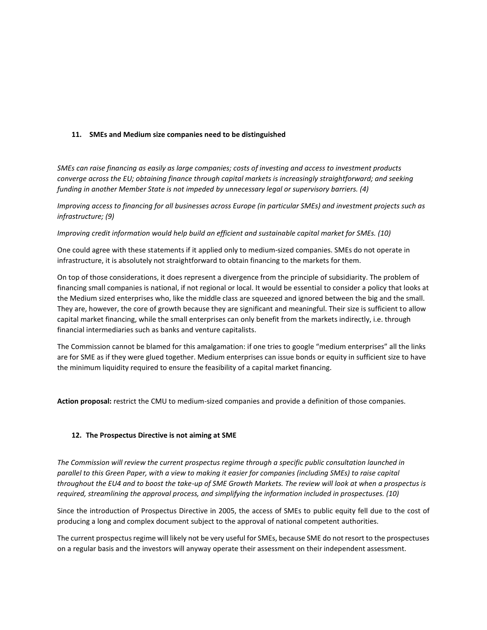#### **11. SMEs and Medium size companies need to be distinguished**

*SMEs can raise financing as easily as large companies; costs of investing and access to investment products converge across the EU; obtaining finance through capital markets is increasingly straightforward; and seeking funding in another Member State is not impeded by unnecessary legal or supervisory barriers. (4)*

*Improving access to financing for all businesses across Europe (in particular SMEs) and investment projects such as infrastructure; (9)*

*Improving credit information would help build an efficient and sustainable capital market for SMEs. (10)* 

One could agree with these statements if it applied only to medium-sized companies. SMEs do not operate in infrastructure, it is absolutely not straightforward to obtain financing to the markets for them.

On top of those considerations, it does represent a divergence from the principle of subsidiarity. The problem of financing small companies is national, if not regional or local. It would be essential to consider a policy that looks at the Medium sized enterprises who, like the middle class are squeezed and ignored between the big and the small. They are, however, the core of growth because they are significant and meaningful. Their size is sufficient to allow capital market financing, while the small enterprises can only benefit from the markets indirectly, i.e. through financial intermediaries such as banks and venture capitalists.

The Commission cannot be blamed for this amalgamation: if one tries to google "medium enterprises" all the links are for SME as if they were glued together. Medium enterprises can issue bonds or equity in sufficient size to have the minimum liquidity required to ensure the feasibility of a capital market financing.

**Action proposal:** restrict the CMU to medium-sized companies and provide a definition of those companies.

#### **12. The Prospectus Directive is not aiming at SME**

*The Commission will review the current prospectus regime through a specific public consultation launched in parallel to this Green Paper, with a view to making it easier for companies (including SMEs) to raise capital throughout the EU4 and to boost the take-up of SME Growth Markets. The review will look at when a prospectus is required, streamlining the approval process, and simplifying the information included in prospectuses. (10)*

Since the introduction of Prospectus Directive in 2005, the access of SMEs to public equity fell due to the cost of producing a long and complex document subject to the approval of national competent authorities.

The current prospectus regime will likely not be very useful for SMEs, because SME do not resort to the prospectuses on a regular basis and the investors will anyway operate their assessment on their independent assessment.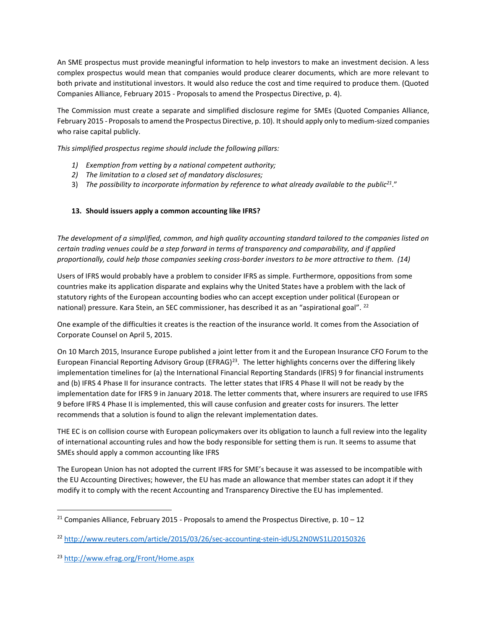An SME prospectus must provide meaningful information to help investors to make an investment decision. A less complex prospectus would mean that companies would produce clearer documents, which are more relevant to both private and institutional investors. It would also reduce the cost and time required to produce them. (Quoted Companies Alliance, February 2015 - Proposals to amend the Prospectus Directive, p. 4).

The Commission must create a separate and simplified disclosure regime for SMEs (Quoted Companies Alliance, February 2015 - Proposals to amend the Prospectus Directive, p. 10). It should apply only to medium-sized companies who raise capital publicly.

*This simplified prospectus regime should include the following pillars:* 

- *1) Exemption from vetting by a national competent authority;*
- *2) The limitation to a closed set of mandatory disclosures;*
- 3) *The possibility to incorporate information by reference to what already available to the public<sup>21</sup>*."

# **13. Should issuers apply a common accounting like IFRS?**

*The development of a simplified, common, and high quality accounting standard tailored to the companies listed on certain trading venues could be a step forward in terms of transparency and comparability, and if applied proportionally, could help those companies seeking cross-border investors to be more attractive to them. (14)*

Users of IFRS would probably have a problem to consider IFRS as simple. Furthermore, oppositions from some countries make its application disparate and explains why the United States have a problem with the lack of statutory rights of the European accounting bodies who can accept exception under political (European or national) pressure. Kara Stein, an SEC commissioner, has described it as an "aspirational goal". <sup>22</sup>

One example of the difficulties it creates is the reaction of the insurance world. It comes from the Association of Corporate Counsel on April 5, 2015.

On 10 March 2015, Insurance Europe published a joint letter from it and the European Insurance CFO Forum to the European Financial Reporting Advisory Group (EFRAG)<sup>23</sup>. The letter highlights concerns over the differing likely implementation timelines for (a) the International Financial Reporting Standards (IFRS) 9 for financial instruments and (b) IFRS 4 Phase II for insurance contracts. The letter states that IFRS 4 Phase II will not be ready by the implementation date for IFRS 9 in January 2018. The letter comments that, where insurers are required to use IFRS 9 before IFRS 4 Phase II is implemented, this will cause confusion and greater costs for insurers. The letter recommends that a solution is found to align the relevant implementation dates.

THE EC is on collision course with European policymakers over its obligation to launch a full review into the legality of international accounting rules and how the body responsible for setting them is run. It seems to assume that SMEs should apply a common accounting like IFRS

The European Union has not adopted the current IFRS for SME's because it was assessed to be incompatible with the EU Accounting Directives; however, the EU has made an allowance that member states can adopt it if they modify it to comply with the recent Accounting and Transparency Directive the EU has implemented.

 $\overline{a}$ 

<sup>&</sup>lt;sup>21</sup> Companies Alliance, February 2015 - Proposals to amend the Prospectus Directive, p. 10 – 12

<sup>22</sup> <http://www.reuters.com/article/2015/03/26/sec-accounting-stein-idUSL2N0WS1LJ20150326>

<sup>23</sup> <http://www.efrag.org/Front/Home.aspx>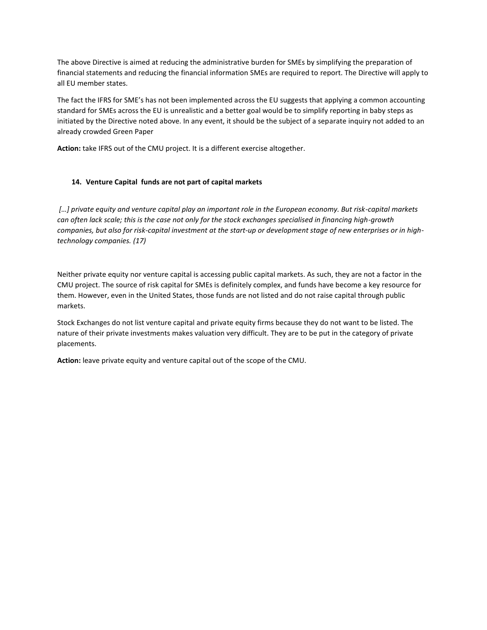The above Directive is aimed at reducing the administrative burden for SMEs by simplifying the preparation of financial statements and reducing the financial information SMEs are required to report. The Directive will apply to all EU member states.

The fact the IFRS for SME's has not been implemented across the EU suggests that applying a common accounting standard for SMEs across the EU is unrealistic and a better goal would be to simplify reporting in baby steps as initiated by the Directive noted above. In any event, it should be the subject of a separate inquiry not added to an already crowded Green Paper

**Action:** take IFRS out of the CMU project. It is a different exercise altogether.

# **14. Venture Capital funds are not part of capital markets**

*[…] private equity and venture capital play an important role in the European economy. But risk-capital markets can often lack scale; this is the case not only for the stock exchanges specialised in financing high-growth companies, but also for risk-capital investment at the start-up or development stage of new enterprises or in hightechnology companies. (17)*

Neither private equity nor venture capital is accessing public capital markets. As such, they are not a factor in the CMU project. The source of risk capital for SMEs is definitely complex, and funds have become a key resource for them. However, even in the United States, those funds are not listed and do not raise capital through public markets.

Stock Exchanges do not list venture capital and private equity firms because they do not want to be listed. The nature of their private investments makes valuation very difficult. They are to be put in the category of private placements.

**Action:** leave private equity and venture capital out of the scope of the CMU.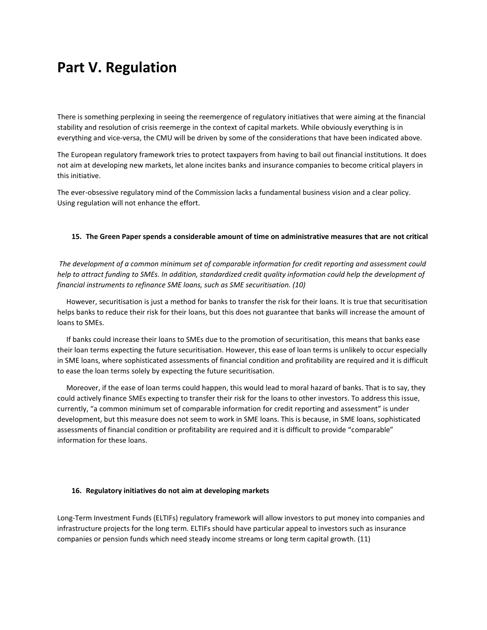# **Part V. Regulation**

There is something perplexing in seeing the reemergence of regulatory initiatives that were aiming at the financial stability and resolution of crisis reemerge in the context of capital markets. While obviously everything is in everything and vice-versa, the CMU will be driven by some of the considerations that have been indicated above.

The European regulatory framework tries to protect taxpayers from having to bail out financial institutions. It does not aim at developing new markets, let alone incites banks and insurance companies to become critical players in this initiative.

The ever-obsessive regulatory mind of the Commission lacks a fundamental business vision and a clear policy. Using regulation will not enhance the effort.

#### **15. The Green Paper spends a considerable amount of time on administrative measures that are not critical**

*The development of a common minimum set of comparable information for credit reporting and assessment could help to attract funding to SMEs. In addition, standardized credit quality information could help the development of financial instruments to refinance SME loans, such as SME securitisation. (10)*

 However, securitisation is just a method for banks to transfer the risk for their loans. It is true that securitisation helps banks to reduce their risk for their loans, but this does not guarantee that banks will increase the amount of loans to SMEs.

 If banks could increase their loans to SMEs due to the promotion of securitisation, this means that banks ease their loan terms expecting the future securitisation. However, this ease of loan terms is unlikely to occur especially in SME loans, where sophisticated assessments of financial condition and profitability are required and it is difficult to ease the loan terms solely by expecting the future securitisation.

 Moreover, if the ease of loan terms could happen, this would lead to moral hazard of banks. That is to say, they could actively finance SMEs expecting to transfer their risk for the loans to other investors. To address this issue, currently, "a common minimum set of comparable information for credit reporting and assessment" is under development, but this measure does not seem to work in SME loans. This is because, in SME loans, sophisticated assessments of financial condition or profitability are required and it is difficult to provide "comparable" information for these loans.

#### **16. Regulatory initiatives do not aim at developing markets**

Long-Term Investment Funds (ELTIFs) regulatory framework will allow investors to put money into companies and infrastructure projects for the long term. ELTIFs should have particular appeal to investors such as insurance companies or pension funds which need steady income streams or long term capital growth. (11)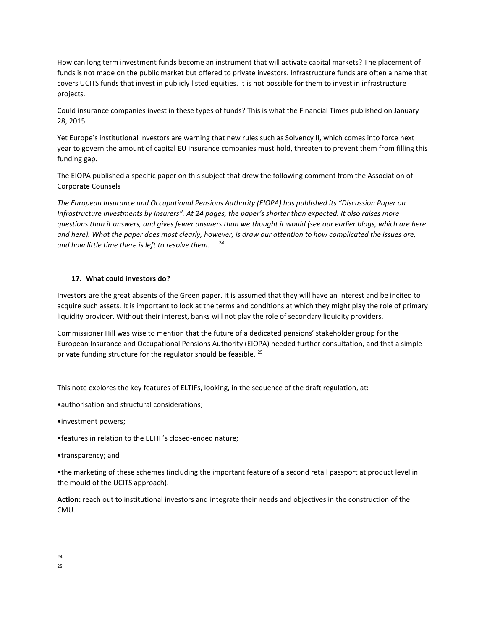How can long term investment funds become an instrument that will activate capital markets? The placement of funds is not made on the public market but offered to private investors. Infrastructure funds are often a name that covers UCITS funds that invest in publicly listed equities. It is not possible for them to invest in infrastructure projects.

Could insurance companies invest in these types of funds? This is what the Financial Times published on January 28, 2015.

Yet Europe's institutional investors are warning that new rules such as Solvency II, which comes into force next year to govern the amount of capital EU insurance companies must hold, threaten to prevent them from filling this funding gap.

The EIOPA published a specific paper on this subject that drew the following comment from the Association of Corporate Counsels

*The European Insurance and Occupational Pensions Authority (EIOPA) has published its "Discussion Paper on Infrastructure Investments by Insurers". At 24 pages, the paper's shorter than expected. It also raises more questions than it answers, and gives fewer answers than we thought it would (see our earlier blogs, which are here and here). What the paper does most clearly, however, is draw our attention to how complicated the issues are, and how little time there is left to resolve them. <sup>24</sup>*

#### **17. What could investors do?**

Investors are the great absents of the Green paper. It is assumed that they will have an interest and be incited to acquire such assets. It is important to look at the terms and conditions at which they might play the role of primary liquidity provider. Without their interest, banks will not play the role of secondary liquidity providers.

Commissioner Hill was wise to mention that the future of a dedicated pensions' stakeholder group for the European Insurance and Occupational Pensions Authority (EIOPA) needed further consultation, and that a simple private funding structure for the regulator should be feasible. <sup>25</sup>

This note explores the key features of ELTIFs, looking, in the sequence of the draft regulation, at:

- •authorisation and structural considerations;
- •investment powers;
- •features in relation to the ELTIF's closed-ended nature;
- •transparency; and

•the marketing of these schemes (including the important feature of a second retail passport at product level in the mould of the UCITS approach).

**Action:** reach out to institutional investors and integrate their needs and objectives in the construction of the CMU.

l 24

<sup>25</sup>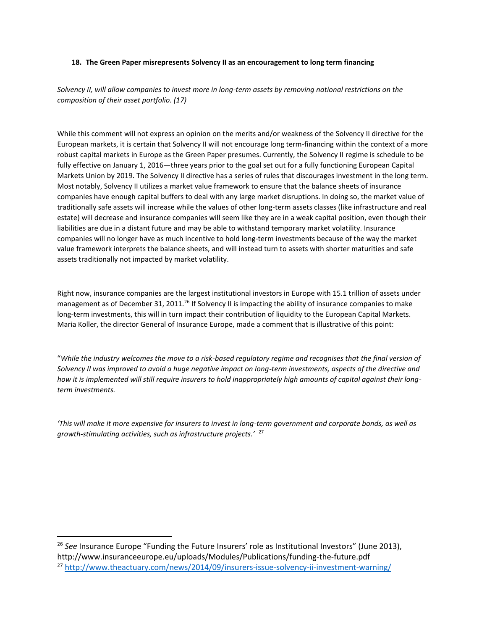#### **18. The Green Paper misrepresents Solvency II as an encouragement to long term financing**

*Solvency II, will allow companies to invest more in long-term assets by removing national restrictions on the composition of their asset portfolio. (17)*

While this comment will not express an opinion on the merits and/or weakness of the Solvency II directive for the European markets, it is certain that Solvency II will not encourage long term-financing within the context of a more robust capital markets in Europe as the Green Paper presumes. Currently, the Solvency II regime is schedule to be fully effective on January 1, 2016—three years prior to the goal set out for a fully functioning European Capital Markets Union by 2019. The Solvency II directive has a series of rules that discourages investment in the long term. Most notably, Solvency II utilizes a market value framework to ensure that the balance sheets of insurance companies have enough capital buffers to deal with any large market disruptions. In doing so, the market value of traditionally safe assets will increase while the values of other long-term assets classes (like infrastructure and real estate) will decrease and insurance companies will seem like they are in a weak capital position, even though their liabilities are due in a distant future and may be able to withstand temporary market volatility. Insurance companies will no longer have as much incentive to hold long-term investments because of the way the market value framework interprets the balance sheets, and will instead turn to assets with shorter maturities and safe assets traditionally not impacted by market volatility.

Right now, insurance companies are the largest institutional investors in Europe with 15.1 trillion of assets under management as of December 31, 2011.<sup>26</sup> If Solvency II is impacting the ability of insurance companies to make long-term investments, this will in turn impact their contribution of liquidity to the European Capital Markets. Maria Koller, the director General of Insurance Europe, made a comment that is illustrative of this point:

"*While the industry welcomes the move to a risk-based regulatory regime and recognises that the final version of Solvency II was improved to avoid a huge negative impact on long-term investments, aspects of the directive and how it is implemented will still require insurers to hold inappropriately high amounts of capital against their longterm investments.*

*'This will make it more expensive for insurers to invest in long-term government and corporate bonds, as well as growth-stimulating activities, such as infrastructure projects.'* <sup>27</sup>

<sup>26</sup> See Insurance Europe "Funding the Future Insurers' role as Institutional Investors" (June 2013), http://www.insuranceeurope.eu/uploads/Modules/Publications/funding-the-future.pdf <sup>27</sup> <http://www.theactuary.com/news/2014/09/insurers-issue-solvency-ii-investment-warning/>

 $\overline{\phantom{a}}$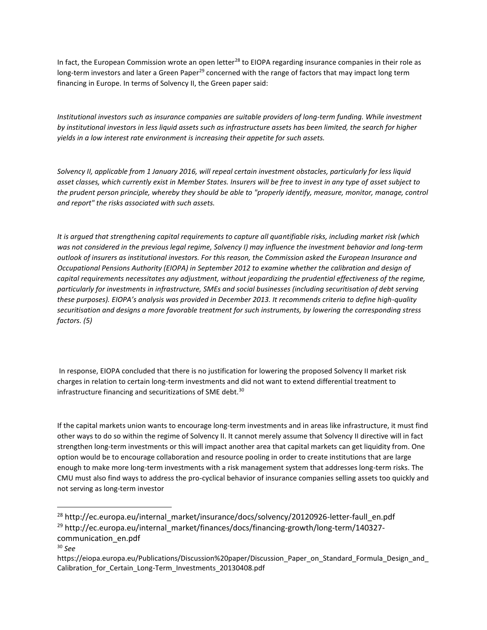In fact, the European Commission wrote an open letter<sup>28</sup> to EIOPA regarding insurance companies in their role as long-term investors and later a Green Paper<sup>29</sup> concerned with the range of factors that may impact long term financing in Europe. In terms of Solvency II, the Green paper said:

*Institutional investors such as insurance companies are suitable providers of long-term funding. While investment by institutional investors in less liquid assets such as infrastructure assets has been limited, the search for higher yields in a low interest rate environment is increasing their appetite for such assets.* 

*Solvency II, applicable from 1 January 2016, will repeal certain investment obstacles, particularly for less liquid asset classes, which currently exist in Member States. Insurers will be free to invest in any type of asset subject to the prudent person principle, whereby they should be able to "properly identify, measure, monitor, manage, control and report" the risks associated with such assets.* 

*It is argued that strengthening capital requirements to capture all quantifiable risks, including market risk (which was not considered in the previous legal regime, Solvency I) may influence the investment behavior and long-term outlook of insurers as institutional investors. For this reason, the Commission asked the European Insurance and Occupational Pensions Authority (EIOPA) in September 2012 to examine whether the calibration and design of capital requirements necessitates any adjustment, without jeopardizing the prudential effectiveness of the regime, particularly for investments in infrastructure, SMEs and social businesses (including securitisation of debt serving these purposes). EIOPA's analysis was provided in December 2013. It recommends criteria to define high-quality securitisation and designs a more favorable treatment for such instruments, by lowering the corresponding stress factors. (5)* 

In response, EIOPA concluded that there is no justification for lowering the proposed Solvency II market risk charges in relation to certain long-term investments and did not want to extend differential treatment to infrastructure financing and securitizations of SME debt.<sup>30</sup>

If the capital markets union wants to encourage long-term investments and in areas like infrastructure, it must find other ways to do so within the regime of Solvency II. It cannot merely assume that Solvency II directive will in fact strengthen long-term investments or this will impact another area that capital markets can get liquidity from. One option would be to encourage collaboration and resource pooling in order to create institutions that are large enough to make more long-term investments with a risk management system that addresses long-term risks. The CMU must also find ways to address the pro-cyclical behavior of insurance companies selling assets too quickly and not serving as long-term investor

- communication\_en.pdf
- <sup>30</sup> *See*

 $\overline{a}$ 

<sup>&</sup>lt;sup>28</sup> http://ec.europa.eu/internal\_market/insurance/docs/solvency/20120926-letter-faull\_en.pdf <sup>29</sup> http://ec.europa.eu/internal\_market/finances/docs/financing-growth/long-term/140327-

https://eiopa.europa.eu/Publications/Discussion%20paper/Discussion\_Paper\_on\_Standard\_Formula\_Design\_and Calibration for Certain Long-Term Investments 20130408.pdf